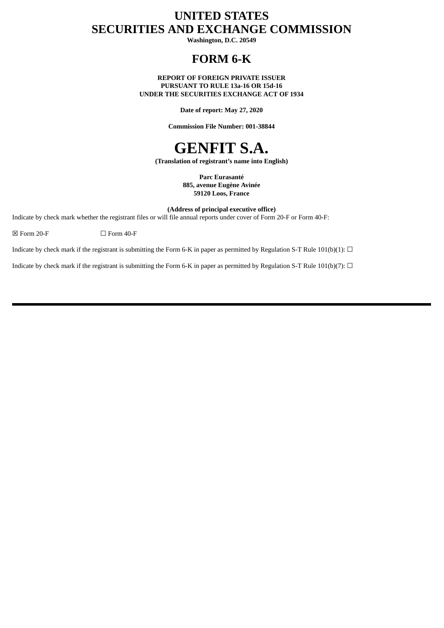# **UNITED STATES SECURITIES AND EXCHANGE COMMISSION**

**Washington, D.C. 20549**

# **FORM 6-K**

**REPORT OF FOREIGN PRIVATE ISSUER PURSUANT TO RULE 13a-16 OR 15d-16 UNDER THE SECURITIES EXCHANGE ACT OF 1934**

**Date of report: May 27, 2020**

**Commission File Number: 001-38844**

# **GENFIT S.A.**

**(Translation of registrant's name into English)**

**Parc Eurasanté 885, avenue Eugène Avinée 59120 Loos, France**

**(Address of principal executive office)**

Indicate by check mark whether the registrant files or will file annual reports under cover of Form 20-F or Form 40-F:

 $\boxtimes$  Form 20-F  $\Box$  Form 40-F

Indicate by check mark if the registrant is submitting the Form 6-K in paper as permitted by Regulation S-T Rule 101(b)(1):  $\Box$ 

Indicate by check mark if the registrant is submitting the Form 6-K in paper as permitted by Regulation S-T Rule 101(b)(7):  $\Box$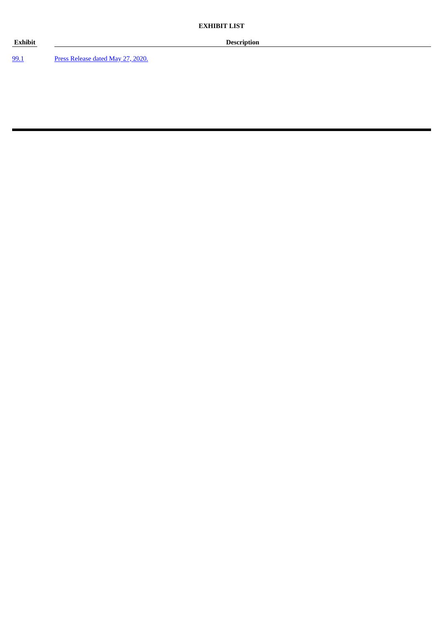[99.1](#page-3-0) Press [Release](#page-3-0) dated May 27, 2020.

**Exhibit Description**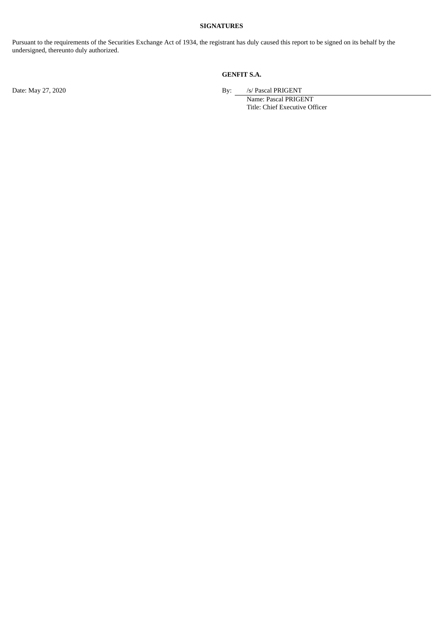#### **SIGNATURES**

Pursuant to the requirements of the Securities Exchange Act of 1934, the registrant has duly caused this report to be signed on its behalf by the undersigned, thereunto duly authorized.

#### **GENFIT S.A.**

Date: May 27, 2020 **By:** *S/ Pascal PRIGENT* 

Name: Pascal PRIGENT Title: Chief Executive Officer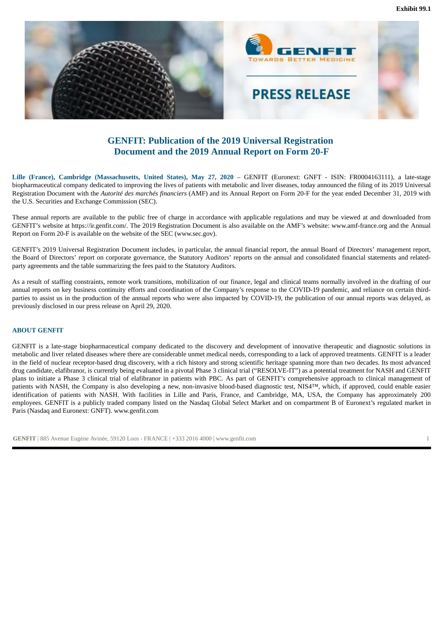<span id="page-3-0"></span>

### **GENFIT: Publication of the 2019 Universal Registration Document and the 2019 Annual Report on Form 20-F**

**Lille (France), Cambridge (Massachusetts, United States), May 27, 2020** – GENFIT (Euronext: GNFT - ISIN: FR0004163111), a late-stage biopharmaceutical company dedicated to improving the lives of patients with metabolic and liver diseases, today announced the filing of its 2019 Universal Registration Document with the *Autorité des marchés financiers* (AMF) and its Annual Report on Form 20-F for the year ended December 31, 2019 with the U.S. Securities and Exchange Commission (SEC).

These annual reports are available to the public free of charge in accordance with applicable regulations and may be viewed at and downloaded from GENFIT's website at https://ir.genfit.com/. The 2019 Registration Document is also available on the AMF's website: www.amf-france.org and the Annual Report on Form 20-F is available on the website of the SEC (www.sec.gov).

GENFIT's 2019 Universal Registration Document includes, in particular, the annual financial report, the annual Board of Directors' management report, the Board of Directors' report on corporate governance, the Statutory Auditors' reports on the annual and consolidated financial statements and relatedparty agreements and the table summarizing the fees paid to the Statutory Auditors.

As a result of staffing constraints, remote work transitions, mobilization of our finance, legal and clinical teams normally involved in the drafting of our annual reports on key business continuity efforts and coordination of the Company's response to the COVID-19 pandemic, and reliance on certain thirdparties to assist us in the production of the annual reports who were also impacted by COVID-19, the publication of our annual reports was delayed, as previously disclosed in our press release on April 29, 2020.

#### **ABOUT GENFIT**

GENFIT is a late-stage biopharmaceutical company dedicated to the discovery and development of innovative therapeutic and diagnostic solutions in metabolic and liver related diseases where there are considerable unmet medical needs, corresponding to a lack of approved treatments. GENFIT is a leader in the field of nuclear receptor-based drug discovery, with a rich history and strong scientific heritage spanning more than two decades. Its most advanced drug candidate, elafibranor, is currently being evaluated in a pivotal Phase 3 clinical trial ("RESOLVE-IT") as a potential treatment for NASH and GENFIT plans to initiate a Phase 3 clinical trial of elafibranor in patients with PBC. As part of GENFIT's comprehensive approach to clinical management of patients with NASH, the Company is also developing a new, non-invasive blood-based diagnostic test, NIS4™, which, if approved, could enable easier identification of patients with NASH. With facilities in Lille and Paris, France, and Cambridge, MA, USA, the Company has approximately 200 employees. GENFIT is a publicly traded company listed on the Nasdaq Global Select Market and on compartment B of Euronext's regulated market in Paris (Nasdaq and Euronext: GNFT). www.genfit.com

**GENFIT** | 885 Avenue Eugène Avinée, 59120 Loos - FRANCE | +333 2016 4000 | www.genfit.com 1